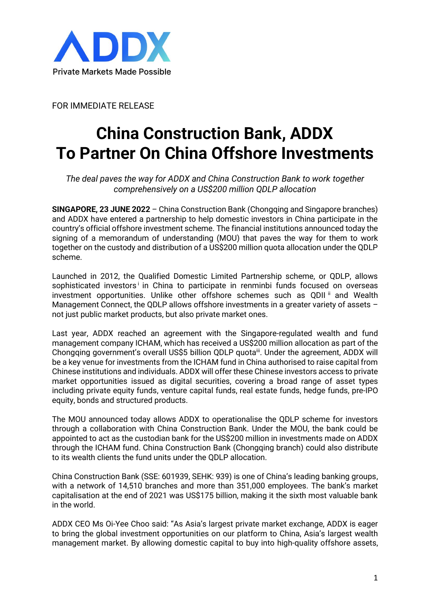

FOR IMMEDIATE RELEASE

## **China Construction Bank, ADDX To Partner On China Offshore Investments**

*The deal paves the way for ADDX and China Construction Bank to work together comprehensively on a US\$200 million QDLP allocation*

**SINGAPORE, 23 JUNE 2022** – China Construction Bank (Chongqing and Singapore branches) and ADDX have entered a partnership to help domestic investors in China participate in the country's official offshore investment scheme. The financial institutions announced today the signing of a memorandum of understanding (MOU) that paves the way for them to work together on the custody and distribution of a US\$200 million quota allocation under the QDLP scheme.

Launched in 2012, the Qualified Domestic Limited Partnership scheme, or QDLP, allows sophisticated investors' in China to participate in renminbi funds focused on overseas investment opportunities. Unlike other offshore schemes such as QDII<sup>ii</sup> and Wealth Management Connect, the QDLP allows offshore investments in a greater variety of assets not just public market products, but also private market ones.

Last year, ADDX reached an agreement with the Singapore-regulated wealth and fund management company ICHAM, which has received a US\$200 million allocation as part of the Chongqing government's overall US\$5 billion QDLP quota<sup>iii</sup>. Under the agreement, ADDX will be a key venue for investments from the ICHAM fund in China authorised to raise capital from Chinese institutions and individuals. ADDX will offer these Chinese investors access to private market opportunities issued as digital securities, covering a broad range of asset types including private equity funds, venture capital funds, real estate funds, hedge funds, pre-IPO equity, bonds and structured products.

The MOU announced today allows ADDX to operationalise the QDLP scheme for investors through a collaboration with China Construction Bank. Under the MOU, the bank could be appointed to act as the custodian bank for the US\$200 million in investments made on ADDX through the ICHAM fund. China Construction Bank (Chongqing branch) could also distribute to its wealth clients the fund units under the QDLP allocation.

China Construction Bank (SSE: 601939, SEHK: 939) is one of China's leading banking groups, with a network of 14,510 branches and more than 351,000 employees. The bank's market capitalisation at the end of 2021 was US\$175 billion, making it the sixth most valuable bank in the world.

ADDX CEO Ms Oi-Yee Choo said: "As Asia's largest private market exchange, ADDX is eager to bring the global investment opportunities on our platform to China, Asia's largest wealth management market. By allowing domestic capital to buy into high-quality offshore assets,